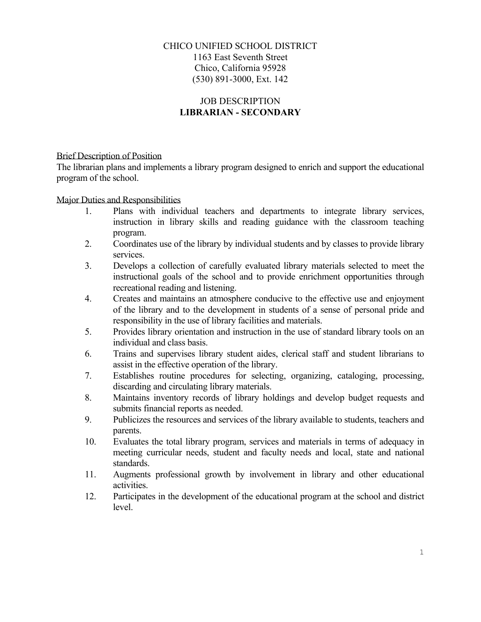## CHICO UNIFIED SCHOOL DISTRICT 1163 East Seventh Street Chico, California 95928 (530) 891-3000, Ext. 142

## JOB DESCRIPTION **LIBRARIAN - SECONDARY**

## Brief Description of Position

The librarian plans and implements a library program designed to enrich and support the educational program of the school.

Major Duties and Responsibilities

- 1. Plans with individual teachers and departments to integrate library services, instruction in library skills and reading guidance with the classroom teaching program.
- 2. Coordinates use of the library by individual students and by classes to provide library services.
- 3. Develops a collection of carefully evaluated library materials selected to meet the instructional goals of the school and to provide enrichment opportunities through recreational reading and listening.
- 4. Creates and maintains an atmosphere conducive to the effective use and enjoyment of the library and to the development in students of a sense of personal pride and responsibility in the use of library facilities and materials.
- 5. Provides library orientation and instruction in the use of standard library tools on an individual and class basis.
- 6. Trains and supervises library student aides, clerical staff and student librarians to assist in the effective operation of the library.
- 7. Establishes routine procedures for selecting, organizing, cataloging, processing, discarding and circulating library materials.
- 8. Maintains inventory records of library holdings and develop budget requests and submits financial reports as needed.
- 9. Publicizes the resources and services of the library available to students, teachers and parents.
- 10. Evaluates the total library program, services and materials in terms of adequacy in meeting curricular needs, student and faculty needs and local, state and national standards.
- 11. Augments professional growth by involvement in library and other educational activities.
- 12. Participates in the development of the educational program at the school and district level.